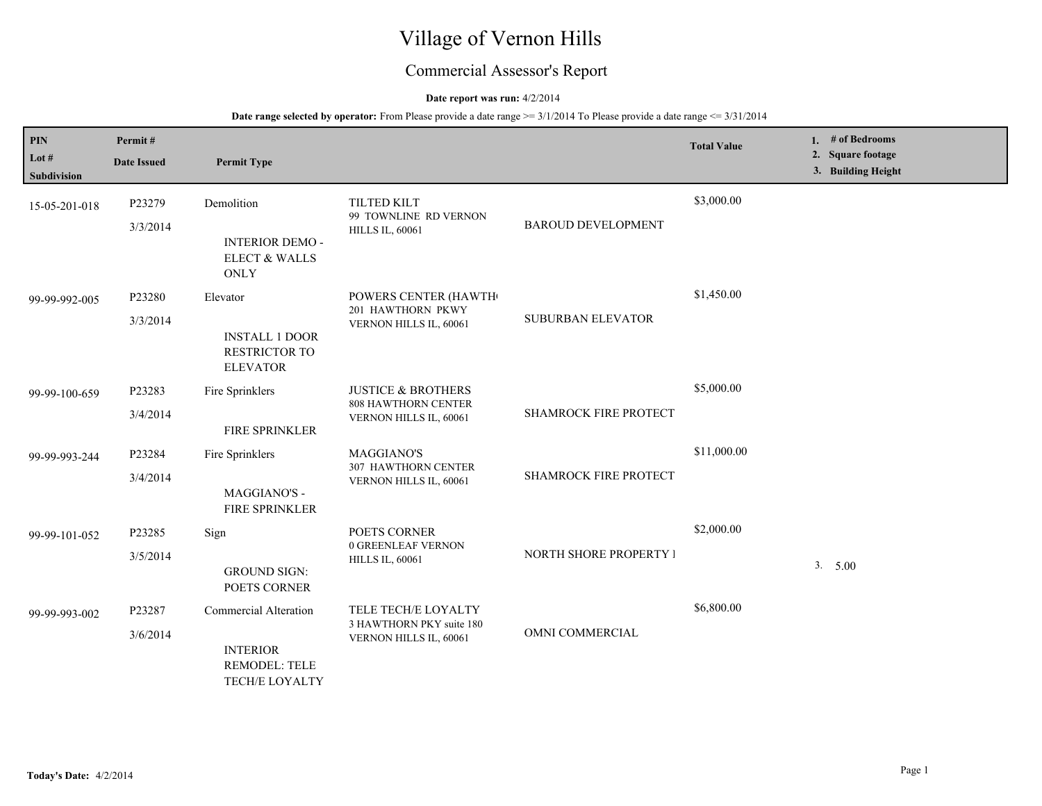# Village of Vernon Hills

## Commercial Assessor's Report

## **Date report was run:** 4/2/2014

| <b>PIN</b><br>Lot $#$<br>Subdivision | Permit#<br><b>Date Issued</b> | <b>Permit Type</b>                                                                        |                                                                                       |                           | <b>Total Value</b> | 1. $#$ of Bedrooms<br>2. Square footage<br>3. Building Height |
|--------------------------------------|-------------------------------|-------------------------------------------------------------------------------------------|---------------------------------------------------------------------------------------|---------------------------|--------------------|---------------------------------------------------------------|
| 15-05-201-018                        | P23279<br>3/3/2014            | Demolition<br><b>INTERIOR DEMO -</b><br>ELECT & WALLS<br><b>ONLY</b>                      | <b>TILTED KILT</b><br>99 TOWNLINE RD VERNON<br><b>HILLS IL, 60061</b>                 | <b>BAROUD DEVELOPMENT</b> | \$3,000.00         |                                                               |
| 99-99-992-005                        | P23280<br>3/3/2014            | Elevator<br><b>INSTALL 1 DOOR</b><br>RESTRICTOR TO<br><b>ELEVATOR</b>                     | POWERS CENTER (HAWTH<br>201 HAWTHORN PKWY<br>VERNON HILLS IL, 60061                   | <b>SUBURBAN ELEVATOR</b>  | \$1,450.00         |                                                               |
| 99-99-100-659                        | P23283<br>3/4/2014            | Fire Sprinklers<br>FIRE SPRINKLER                                                         | <b>JUSTICE &amp; BROTHERS</b><br><b>808 HAWTHORN CENTER</b><br>VERNON HILLS IL, 60061 | SHAMROCK FIRE PROTECT     | \$5,000.00         |                                                               |
| 99-99-993-244                        | P23284<br>3/4/2014            | Fire Sprinklers<br>MAGGIANO'S -<br>FIRE SPRINKLER                                         | MAGGIANO'S<br><b>307 HAWTHORN CENTER</b><br>VERNON HILLS IL, 60061                    | SHAMROCK FIRE PROTECT     | \$11,000.00        |                                                               |
| 99-99-101-052                        | P23285<br>3/5/2014            | Sign<br><b>GROUND SIGN:</b><br>POETS CORNER                                               | POETS CORNER<br>0 GREENLEAF VERNON<br><b>HILLS IL, 60061</b>                          | NORTH SHORE PROPERTY I    | \$2,000.00         | 3. 5.00                                                       |
| 99-99-993-002                        | P23287<br>3/6/2014            | Commercial Alteration<br><b>INTERIOR</b><br><b>REMODEL: TELE</b><br><b>TECH/E LOYALTY</b> | TELE TECH/E LOYALTY<br>3 HAWTHORN PKY suite 180<br>VERNON HILLS IL, 60061             | OMNI COMMERCIAL           | \$6,800.00         |                                                               |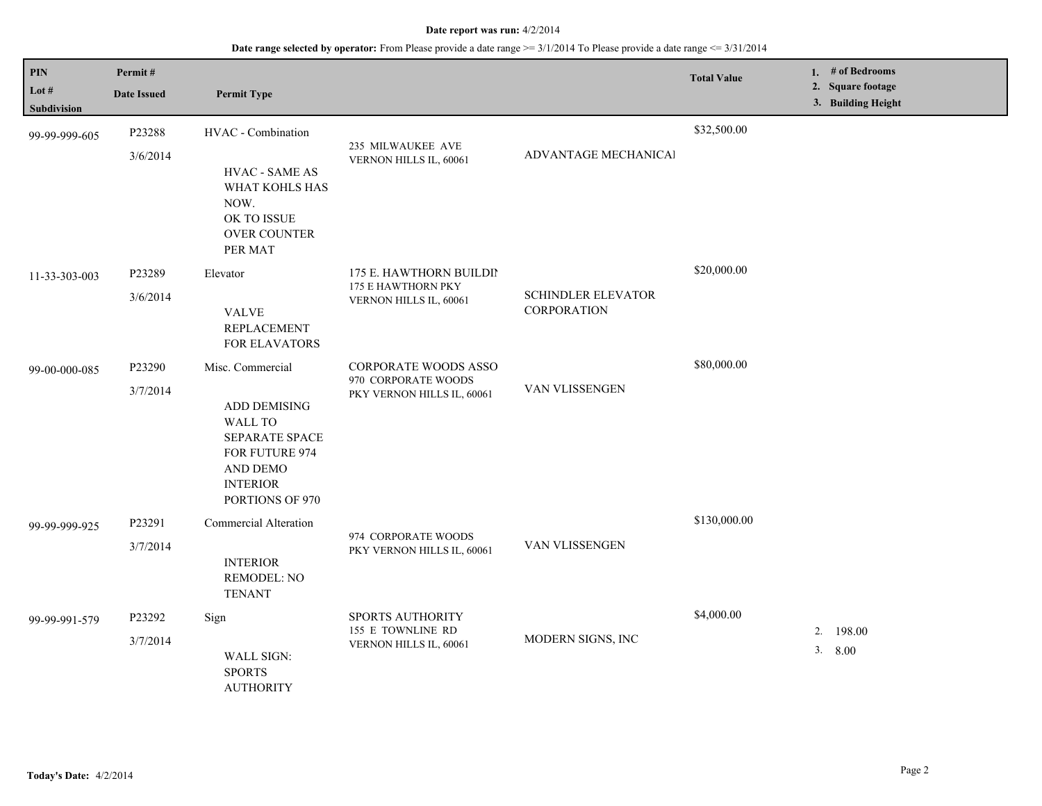| PIN                  | Permit#            |                                                                                                                             |                                               |                                                 | <b>Total Value</b> | 1. # of Bedrooms                        |
|----------------------|--------------------|-----------------------------------------------------------------------------------------------------------------------------|-----------------------------------------------|-------------------------------------------------|--------------------|-----------------------------------------|
| Lot #<br>Subdivision | <b>Date Issued</b> | <b>Permit Type</b>                                                                                                          |                                               |                                                 |                    | 2. Square footage<br>3. Building Height |
| 99-99-999-605        | P23288<br>3/6/2014 | HVAC - Combination<br><b>HVAC - SAME AS</b>                                                                                 | 235 MILWAUKEE AVE<br>VERNON HILLS IL, 60061   | ADVANTAGE MECHANICAl                            | \$32,500.00        |                                         |
|                      |                    | WHAT KOHLS HAS<br>NOW.<br>OK TO ISSUE<br><b>OVER COUNTER</b><br>PER MAT                                                     |                                               |                                                 |                    |                                         |
| 11-33-303-003        | P23289             | Elevator                                                                                                                    | 175 E. HAWTHORN BUILDII<br>175 E HAWTHORN PKY |                                                 | \$20,000.00        |                                         |
|                      | 3/6/2014           | <b>VALVE</b><br>REPLACEMENT<br><b>FOR ELAVATORS</b>                                                                         | VERNON HILLS IL, 60061                        | <b>SCHINDLER ELEVATOR</b><br><b>CORPORATION</b> |                    |                                         |
| 99-00-000-085        | P23290             | Misc. Commercial                                                                                                            | CORPORATE WOODS ASSO<br>970 CORPORATE WOODS   |                                                 | \$80,000.00        |                                         |
|                      | 3/7/2014           | <b>ADD DEMISING</b><br><b>WALL TO</b><br>SEPARATE SPACE<br>FOR FUTURE 974<br>AND DEMO<br><b>INTERIOR</b><br>PORTIONS OF 970 | PKY VERNON HILLS IL, 60061                    | VAN VLISSENGEN                                  |                    |                                         |
| 99-99-999-925        | P23291             | <b>Commercial Alteration</b>                                                                                                | 974 CORPORATE WOODS                           |                                                 | \$130,000.00       |                                         |
|                      | 3/7/2014           | <b>INTERIOR</b><br><b>REMODEL: NO</b><br><b>TENANT</b>                                                                      | PKY VERNON HILLS IL, 60061                    | VAN VLISSENGEN                                  |                    |                                         |
| 99-99-991-579        | P23292             | Sign                                                                                                                        | SPORTS AUTHORITY                              | 155 E TOWNLINE RD<br>MODERN SIGNS, INC          | \$4,000.00         | 2. 198.00                               |
|                      | 3/7/2014           | <b>WALL SIGN:</b><br><b>SPORTS</b><br><b>AUTHORITY</b>                                                                      | VERNON HILLS IL, 60061                        |                                                 |                    | 3.<br>8.00                              |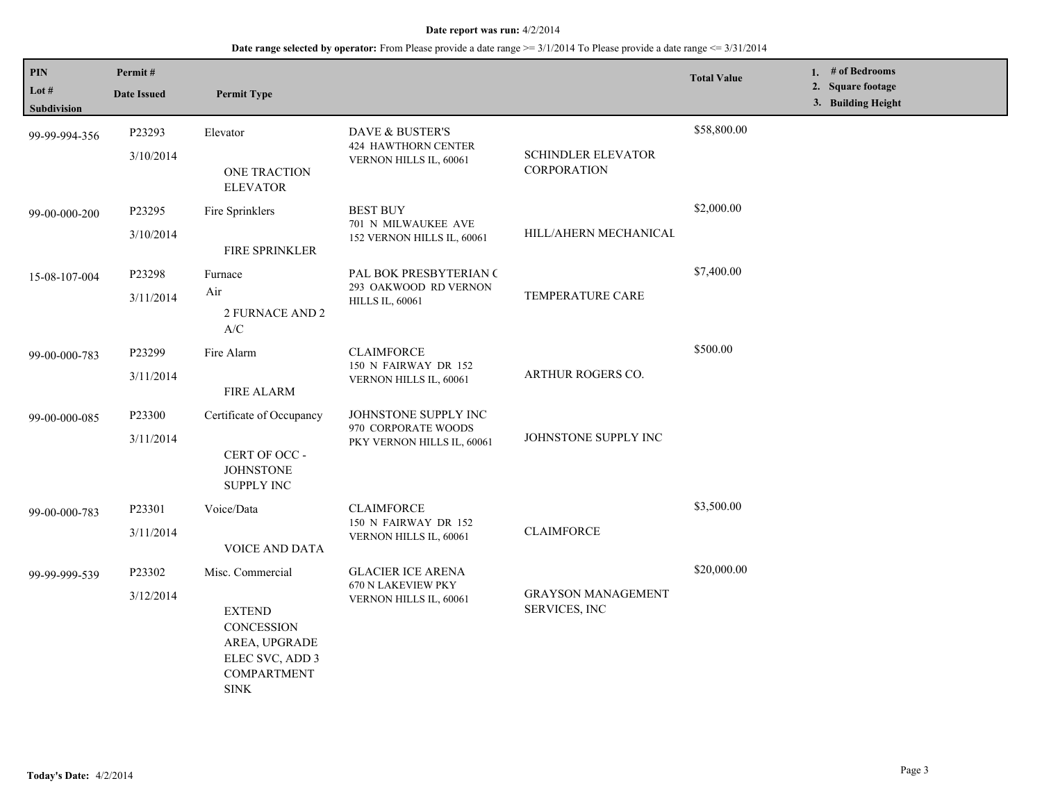| PIN<br>Lot $#$<br><b>Subdivision</b> | Permit#<br><b>Date Issued</b> | <b>Permit Type</b>                                                                                                       |                                                                           |                                                 | <b>Total Value</b> | 1. # of Bedrooms<br>2. Square footage<br>3. Building Height |
|--------------------------------------|-------------------------------|--------------------------------------------------------------------------------------------------------------------------|---------------------------------------------------------------------------|-------------------------------------------------|--------------------|-------------------------------------------------------------|
| 99-99-994-356                        | P23293<br>3/10/2014           | Elevator<br>ONE TRACTION<br><b>ELEVATOR</b>                                                                              | DAVE & BUSTER'S<br>424 HAWTHORN CENTER<br>VERNON HILLS IL, 60061          | <b>SCHINDLER ELEVATOR</b><br><b>CORPORATION</b> | \$58,800.00        |                                                             |
| 99-00-000-200                        | P23295<br>3/10/2014           | Fire Sprinklers<br>FIRE SPRINKLER                                                                                        | <b>BEST BUY</b><br>701 N MILWAUKEE AVE<br>152 VERNON HILLS IL, 60061      | HILL/AHERN MECHANICAL                           | \$2,000.00         |                                                             |
| 15-08-107-004                        | P23298<br>3/11/2014           | Furnace<br>Air<br>2 FURNACE AND 2<br>A/C                                                                                 | PAL BOK PRESBYTERIAN (<br>293 OAKWOOD RD VERNON<br><b>HILLS IL, 60061</b> | TEMPERATURE CARE                                | \$7,400.00         |                                                             |
| 99-00-000-783                        | P23299<br>3/11/2014           | Fire Alarm<br><b>FIRE ALARM</b>                                                                                          | <b>CLAIMFORCE</b><br>150 N FAIRWAY DR 152<br>VERNON HILLS IL, 60061       | ARTHUR ROGERS CO.                               | \$500.00           |                                                             |
| 99-00-000-085                        | P23300<br>3/11/2014           | Certificate of Occupancy<br>CERT OF OCC -<br><b>JOHNSTONE</b><br><b>SUPPLY INC</b>                                       | JOHNSTONE SUPPLY INC<br>970 CORPORATE WOODS<br>PKY VERNON HILLS IL, 60061 | JOHNSTONE SUPPLY INC                            |                    |                                                             |
| 99-00-000-783                        | P23301<br>3/11/2014           | Voice/Data<br>VOICE AND DATA                                                                                             | <b>CLAIMFORCE</b><br>150 N FAIRWAY DR 152<br>VERNON HILLS IL, 60061       | <b>CLAIMFORCE</b>                               | \$3,500.00         |                                                             |
| 99-99-999-539                        | P23302<br>3/12/2014           | Misc. Commercial<br><b>EXTEND</b><br>CONCESSION<br>AREA, UPGRADE<br>ELEC SVC, ADD 3<br><b>COMPARTMENT</b><br><b>SINK</b> | <b>GLACIER ICE ARENA</b><br>670 N LAKEVIEW PKY<br>VERNON HILLS IL, 60061  | <b>GRAYSON MANAGEMENT</b><br>SERVICES, INC      | \$20,000.00        |                                                             |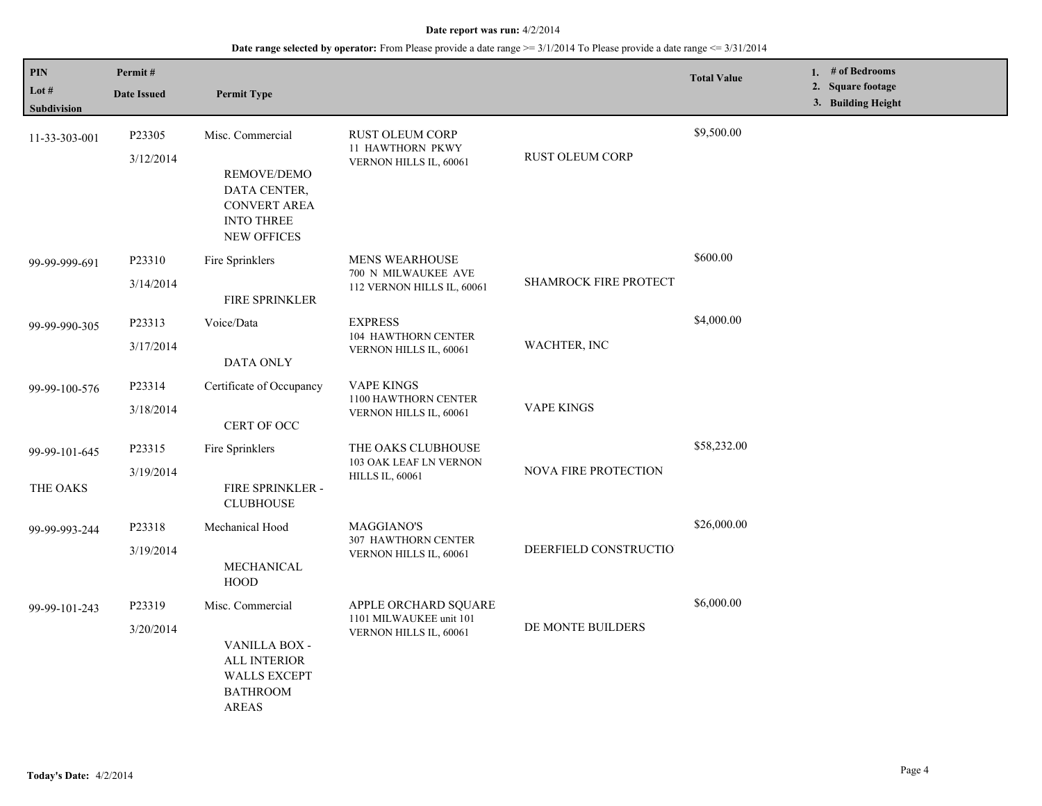## **Date range selected by operator:** From Please provide a date range >= 3/1/2014 To Please provide a date range <= 3/31/2014

| PIN<br>Lot #<br><b>Subdivision</b> | Permit#<br><b>Date Issued</b> | <b>Permit Type</b>                                                                                                |                                                                             |                              | <b>Total Value</b> | 1. # of Bedrooms<br>2. Square footage<br>3. Building Height |
|------------------------------------|-------------------------------|-------------------------------------------------------------------------------------------------------------------|-----------------------------------------------------------------------------|------------------------------|--------------------|-------------------------------------------------------------|
| 11-33-303-001                      | P23305<br>3/12/2014           | Misc. Commercial<br>REMOVE/DEMO<br>DATA CENTER,<br><b>CONVERT AREA</b><br><b>INTO THREE</b><br><b>NEW OFFICES</b> | <b>RUST OLEUM CORP</b><br><b>11 HAWTHORN PKWY</b><br>VERNON HILLS IL, 60061 | RUST OLEUM CORP              | \$9,500.00         |                                                             |
| 99-99-999-691                      | P23310<br>3/14/2014           | Fire Sprinklers<br><b>FIRE SPRINKLER</b>                                                                          | MENS WEARHOUSE<br>700 N MILWAUKEE AVE<br>112 VERNON HILLS IL, 60061         | <b>SHAMROCK FIRE PROTECT</b> | \$600.00           |                                                             |
| 99-99-990-305                      | P23313<br>3/17/2014           | Voice/Data<br><b>DATA ONLY</b>                                                                                    | <b>EXPRESS</b><br>104 HAWTHORN CENTER<br>VERNON HILLS IL, 60061             | WACHTER, INC                 | \$4,000.00         |                                                             |
| 99-99-100-576                      | P23314<br>3/18/2014           | Certificate of Occupancy<br>CERT OF OCC                                                                           | <b>VAPE KINGS</b><br>1100 HAWTHORN CENTER<br>VERNON HILLS IL, 60061         | <b>VAPE KINGS</b>            |                    |                                                             |
| 99-99-101-645<br>THE OAKS          | P23315<br>3/19/2014           | Fire Sprinklers<br>FIRE SPRINKLER -<br><b>CLUBHOUSE</b>                                                           | THE OAKS CLUBHOUSE<br>103 OAK LEAF LN VERNON<br><b>HILLS IL, 60061</b>      | <b>NOVA FIRE PROTECTION</b>  | \$58,232.00        |                                                             |
| 99-99-993-244                      | P23318<br>3/19/2014           | Mechanical Hood<br>MECHANICAL<br><b>HOOD</b>                                                                      | MAGGIANO'S<br>307 HAWTHORN CENTER<br>VERNON HILLS IL, 60061                 | DEERFIELD CONSTRUCTIO        | \$26,000.00        |                                                             |
| 99-99-101-243                      | P23319<br>3/20/2014           | Misc. Commercial<br>VANILLA BOX -<br>ALL INTERIOR<br><b>WALLS EXCEPT</b><br><b>BATHROOM</b><br><b>AREAS</b>       | APPLE ORCHARD SQUARE<br>1101 MILWAUKEE unit 101<br>VERNON HILLS IL, 60061   | DE MONTE BUILDERS            | \$6,000.00         |                                                             |

L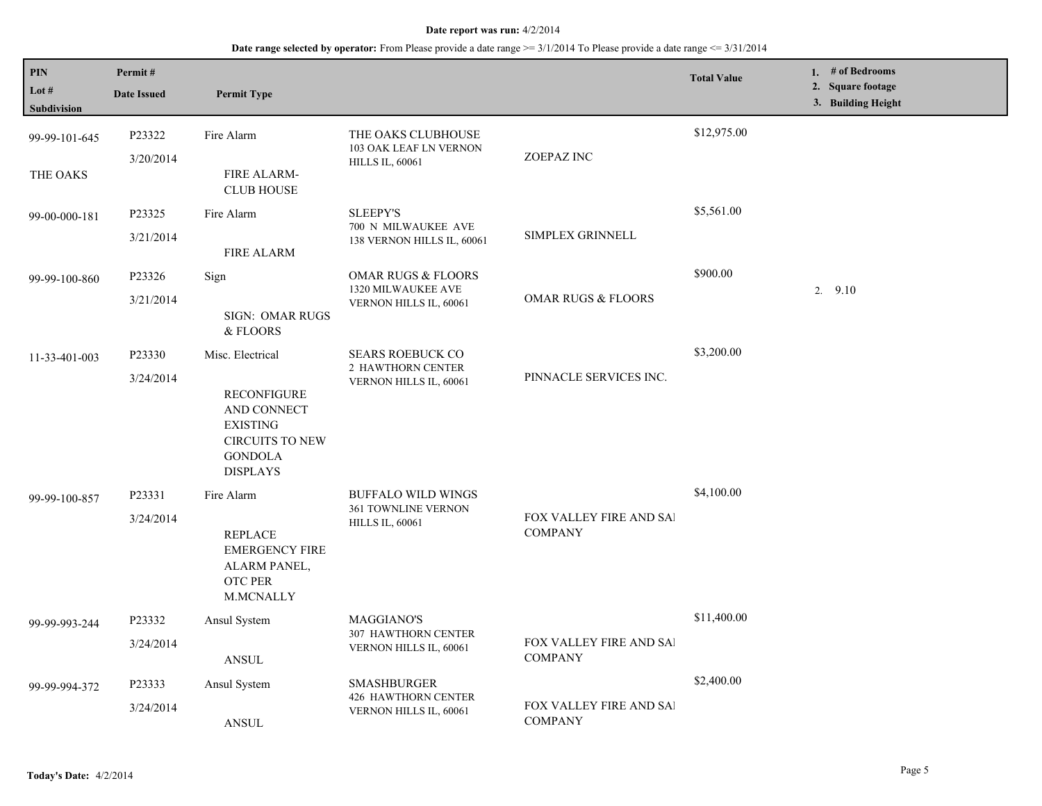| <b>PIN</b><br>Lot $#$<br><b>Subdivision</b> | Permit#<br><b>Date Issued</b> | <b>Permit Type</b>                                                                                                                      |                                                                               |                                                  | <b>Total Value</b> | 1. # of Bedrooms<br>2. Square footage<br>3. Building Height |
|---------------------------------------------|-------------------------------|-----------------------------------------------------------------------------------------------------------------------------------------|-------------------------------------------------------------------------------|--------------------------------------------------|--------------------|-------------------------------------------------------------|
| 99-99-101-645<br>THE OAKS                   | P23322<br>3/20/2014           | Fire Alarm<br><b>FIRE ALARM-</b><br><b>CLUB HOUSE</b>                                                                                   | THE OAKS CLUBHOUSE<br>103 OAK LEAF LN VERNON<br><b>HILLS IL, 60061</b>        | ZOEPAZ INC                                       | \$12,975.00        |                                                             |
| 99-00-000-181                               | P23325<br>3/21/2014           | Fire Alarm<br><b>FIRE ALARM</b>                                                                                                         | <b>SLEEPY'S</b><br>700 N MILWAUKEE AVE<br>138 VERNON HILLS IL, 60061          | SIMPLEX GRINNELL                                 | \$5,561.00         |                                                             |
| 99-99-100-860                               | P23326<br>3/21/2014           | Sign<br>SIGN: OMAR RUGS<br>& FLOORS                                                                                                     | <b>OMAR RUGS &amp; FLOORS</b><br>1320 MILWAUKEE AVE<br>VERNON HILLS IL, 60061 | <b>OMAR RUGS &amp; FLOORS</b>                    | \$900.00           | 2.9.10                                                      |
| 11-33-401-003                               | P23330<br>3/24/2014           | Misc. Electrical<br><b>RECONFIGURE</b><br>AND CONNECT<br><b>EXISTING</b><br><b>CIRCUITS TO NEW</b><br><b>GONDOLA</b><br><b>DISPLAYS</b> | <b>SEARS ROEBUCK CO</b><br>2 HAWTHORN CENTER<br>VERNON HILLS IL, 60061        | PINNACLE SERVICES INC.                           | \$3,200.00         |                                                             |
| 99-99-100-857                               | P23331<br>3/24/2014           | Fire Alarm<br><b>REPLACE</b><br><b>EMERGENCY FIRE</b><br>ALARM PANEL,<br>OTC PER<br>M.MCNALLY                                           | <b>BUFFALO WILD WINGS</b><br>361 TOWNLINE VERNON<br><b>HILLS IL, 60061</b>    | <b>FOX VALLEY FIRE AND SAI</b><br><b>COMPANY</b> | \$4,100.00         |                                                             |
| 99-99-993-244                               | P23332<br>3/24/2014           | Ansul System<br><b>ANSUL</b>                                                                                                            | <b>MAGGIANO'S</b><br><b>307 HAWTHORN CENTER</b><br>VERNON HILLS IL, 60061     | FOX VALLEY FIRE AND SAI<br><b>COMPANY</b>        | \$11,400.00        |                                                             |
| 99-99-994-372                               | P23333<br>3/24/2014           | Ansul System<br><b>ANSUL</b>                                                                                                            | <b>SMASHBURGER</b><br>426 HAWTHORN CENTER<br>VERNON HILLS IL, 60061           | FOX VALLEY FIRE AND SAI<br><b>COMPANY</b>        | \$2,400.00         |                                                             |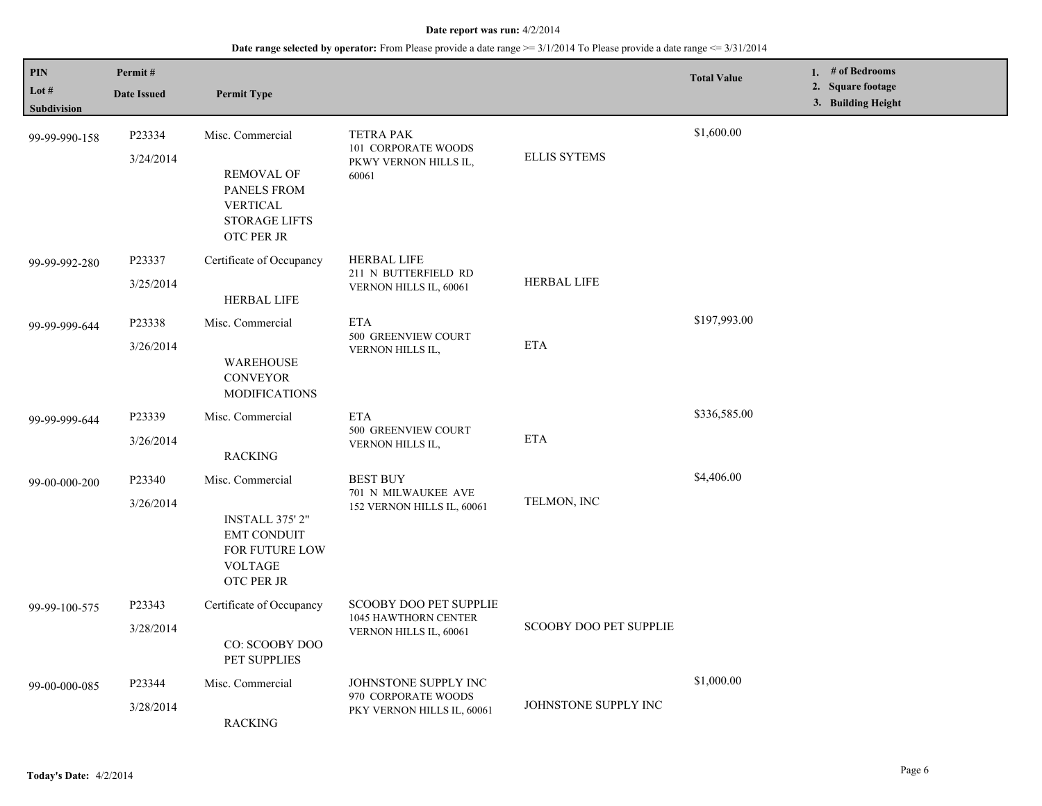| <b>PIN</b><br>Lot #<br>Subdivision | Permit#<br><b>Date Issued</b> | <b>Permit Type</b>                                                                                                   |                                                                                 |                        | <b>Total Value</b> | 1. # of Bedrooms<br>2. Square footage<br>3. Building Height |
|------------------------------------|-------------------------------|----------------------------------------------------------------------------------------------------------------------|---------------------------------------------------------------------------------|------------------------|--------------------|-------------------------------------------------------------|
| 99-99-990-158                      | P23334<br>3/24/2014           | Misc. Commercial<br><b>REMOVAL OF</b><br><b>PANELS FROM</b><br><b>VERTICAL</b><br><b>STORAGE LIFTS</b><br>OTC PER JR | <b>TETRA PAK</b><br>101 CORPORATE WOODS<br>PKWY VERNON HILLS IL,<br>60061       | <b>ELLIS SYTEMS</b>    | \$1,600.00         |                                                             |
| 99-99-992-280                      | P23337<br>3/25/2014           | Certificate of Occupancy<br><b>HERBAL LIFE</b>                                                                       | <b>HERBAL LIFE</b><br>211 N BUTTERFIELD RD<br>VERNON HILLS IL, 60061            | <b>HERBAL LIFE</b>     |                    |                                                             |
| 99-99-999-644                      | P23338<br>3/26/2014           | Misc. Commercial<br><b>WAREHOUSE</b><br><b>CONVEYOR</b><br><b>MODIFICATIONS</b>                                      | <b>ETA</b><br>500 GREENVIEW COURT<br>VERNON HILLS IL,                           | <b>ETA</b>             | \$197,993.00       |                                                             |
| 99-99-999-644                      | P23339<br>3/26/2014           | Misc. Commercial<br><b>RACKING</b>                                                                                   | <b>ETA</b><br>500 GREENVIEW COURT<br>VERNON HILLS IL,                           | <b>ETA</b>             | \$336,585.00       |                                                             |
| 99-00-000-200                      | P23340<br>3/26/2014           | Misc. Commercial<br><b>INSTALL 375' 2"</b><br><b>EMT CONDUIT</b><br>FOR FUTURE LOW<br><b>VOLTAGE</b><br>OTC PER JR   | <b>BEST BUY</b><br>701 N MILWAUKEE AVE<br>152 VERNON HILLS IL, 60061            | TELMON, INC            | \$4,406.00         |                                                             |
| 99-99-100-575                      | P23343<br>3/28/2014           | Certificate of Occupancy<br>CO: SCOOBY DOO<br>PET SUPPLIES                                                           | <b>SCOOBY DOO PET SUPPLIE</b><br>1045 HAWTHORN CENTER<br>VERNON HILLS IL, 60061 | SCOOBY DOO PET SUPPLIE |                    |                                                             |
| 99-00-000-085                      | P23344<br>3/28/2014           | Misc. Commercial<br><b>RACKING</b>                                                                                   | JOHNSTONE SUPPLY INC<br>970 CORPORATE WOODS<br>PKY VERNON HILLS IL, 60061       | JOHNSTONE SUPPLY INC   | \$1,000.00         |                                                             |